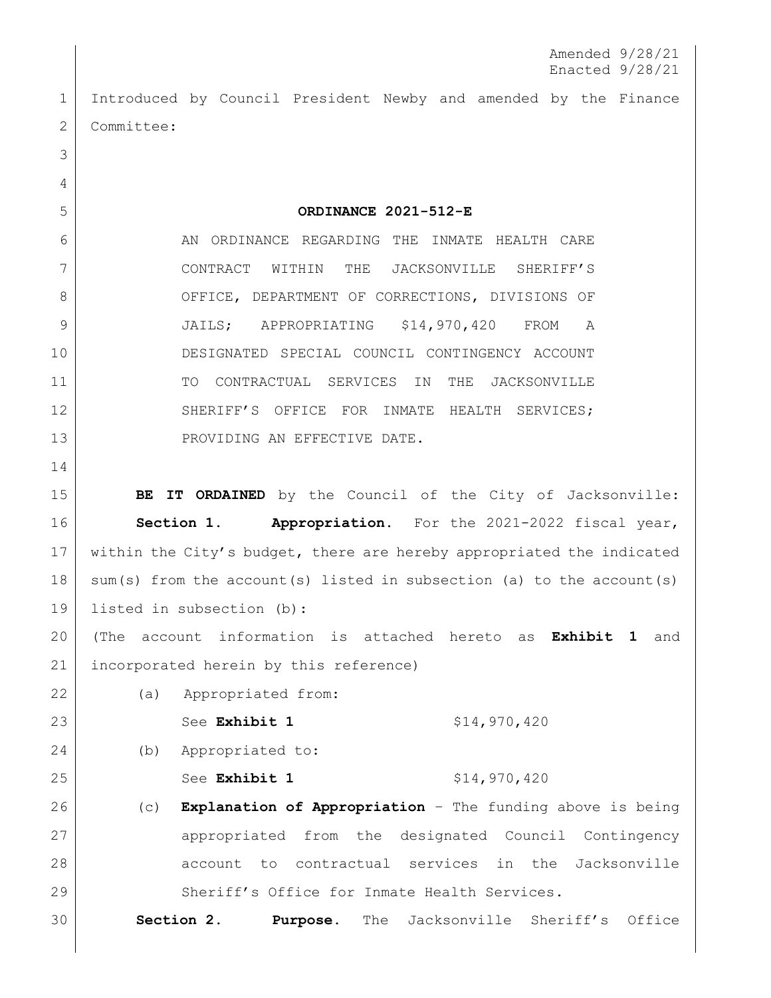1 Introduced by Council President Newby and amended by the Finance 2 Committee:

5 **ORDINANCE 2021-512-E**

6 AN ORDINANCE REGARDING THE INMATE HEALTH CARE 7 CONTRACT WITHIN THE JACKSONVILLE SHERIFF'S 8 OFFICE, DEPARTMENT OF CORRECTIONS, DIVISIONS OF 9 JAILS; APPROPRIATING \$14,970,420 FROM A 10 DESIGNATED SPECIAL COUNCIL CONTINGENCY ACCOUNT 11 | TO CONTRACTUAL SERVICES IN THE JACKSONVILLE 12 SHERIFF'S OFFICE FOR INMATE HEALTH SERVICES; 13 PROVIDING AN EFFECTIVE DATE.

14

3

4

15 **BE IT ORDAINED** by the Council of the City of Jacksonville: 16 **Section 1. Appropriation.** For the 2021-2022 fiscal year, 17 | within the City's budget, there are hereby appropriated the indicated 18 | sum(s) from the account(s) listed in subsection (a) to the account(s) 19 listed in subsection (b):

20 (The account information is attached hereto as **Exhibit 1** and 21 incorporated herein by this reference)

22 (a) Appropriated from:

23 See **Exhibit 1** \$14,970,420

24 (b) Appropriated to:

25 See Exhibit 1 \$14,970,420

 (c) **Explanation of Appropriation** – The funding above is being 27 appropriated from the designated Council Contingency account to contractual services in the Jacksonville Sheriff's Office for Inmate Health Services.

30 **Section 2. Purpose.** The Jacksonville Sheriff's Office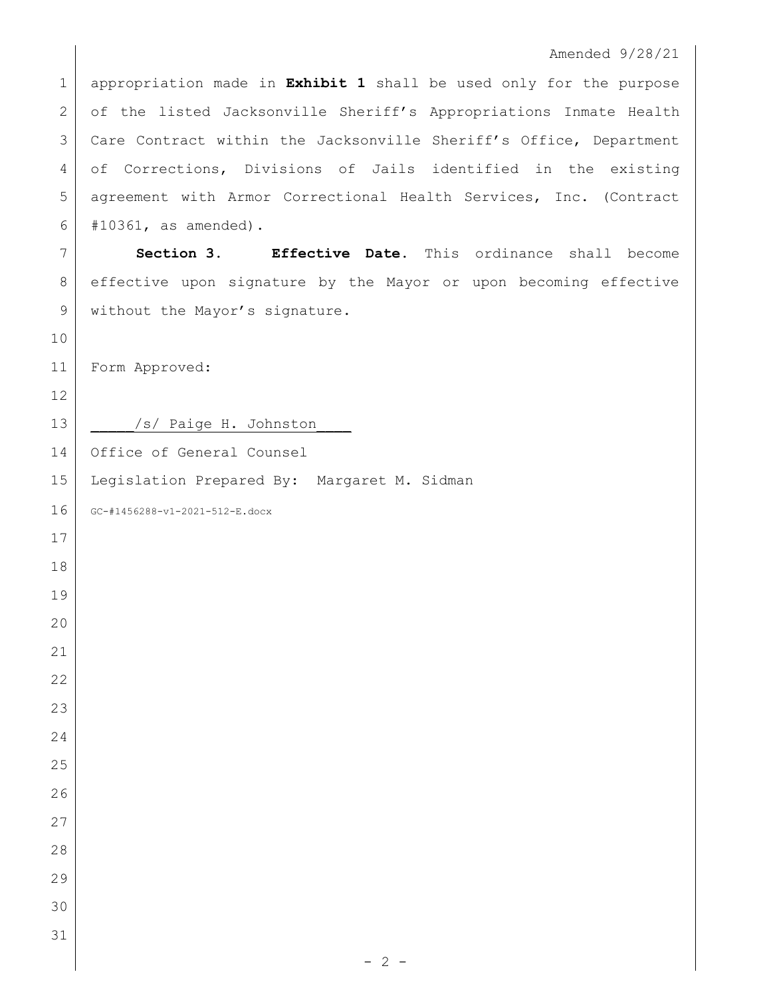## Amended 9/28/21

 appropriation made in **Exhibit 1** shall be used only for the purpose 2 of the listed Jacksonville Sheriff's Appropriations Inmate Health 3 Care Contract within the Jacksonville Sheriff's Office, Department 4 of Corrections, Divisions of Jails identified in the existing 5 agreement with Armor Correctional Health Services, Inc. (Contract #10361, as amended).

 **Section 3. Effective Date.** This ordinance shall become effective upon signature by the Mayor or upon becoming effective 9 without the Mayor's signature.

Form Approved:

13 | /s/ Paige H. Johnston Office of General Counsel Legislation Prepared By: Margaret M. Sidman GC-#1456288-v1-2021-512-E.docx